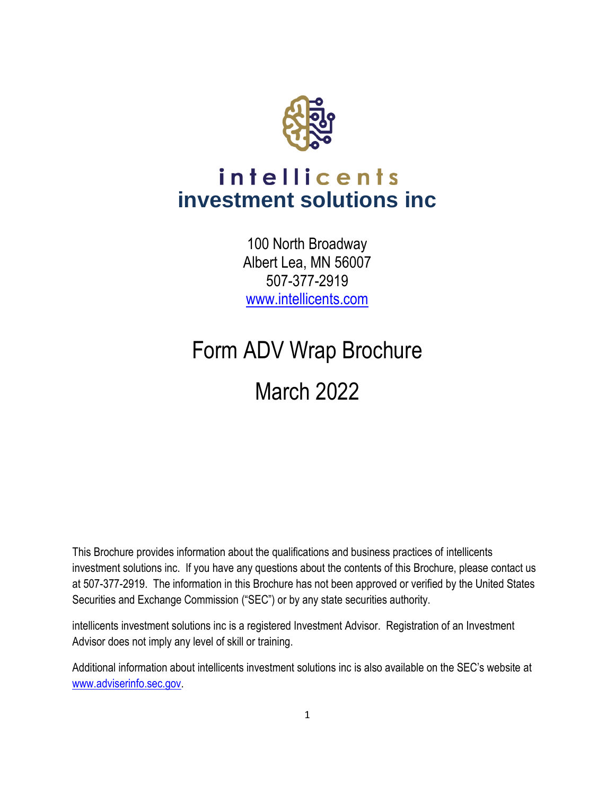

# intellicents **investment solutions inc**

100 North Broadway Albert Lea, MN 56007 507-377-2919 [www.intellicents.com](http://www.intellicents.com/)

# Form ADV Wrap Brochure March 2022

This Brochure provides information about the qualifications and business practices of intellicents investment solutions inc. If you have any questions about the contents of this Brochure, please contact us at 507-377-2919. The information in this Brochure has not been approved or verified by the United States Securities and Exchange Commission ("SEC") or by any state securities authority.

intellicents investment solutions inc is a registered Investment Advisor. Registration of an Investment Advisor does not imply any level of skill or training.

Additional information about intellicents investment solutions inc is also available on the SEC's website at [www.adviserinfo.sec.gov.](http://www.adviserinfo.sec.gov/)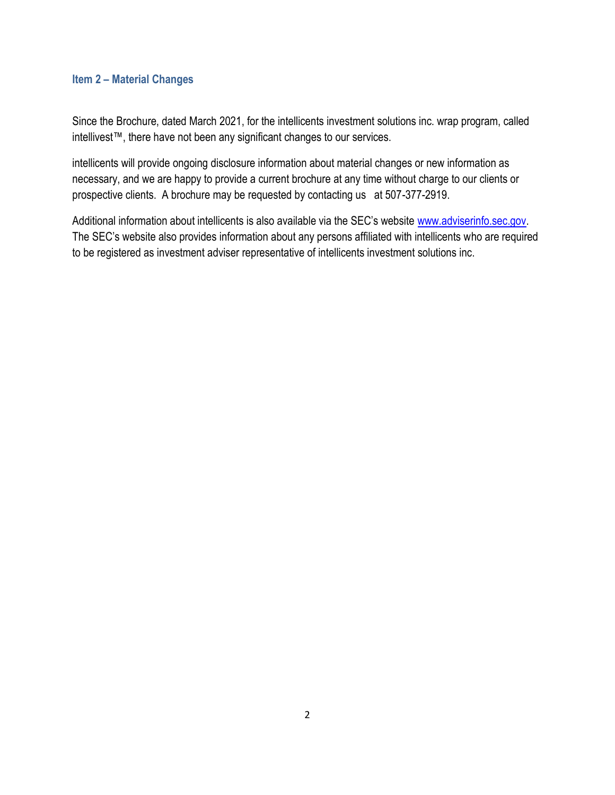# **Item 2 – Material Changes**

Since the Brochure, dated March 2021, for the intellicents investment solutions inc. wrap program, called intellivest™, there have not been any significant changes to our services.

intellicents will provide ongoing disclosure information about material changes or new information as necessary, and we are happy to provide a current brochure at any time without charge to our clients or prospective clients. A brochure may be requested by contacting us at 507-377-2919.

Additional information about intellicents is also available via the SEC's website [www.adviserinfo.sec.gov.](http://www.adviserinfo.sec.gov/) The SEC's website also provides information about any persons affiliated with intellicents who are required to be registered as investment adviser representative of intellicents investment solutions inc.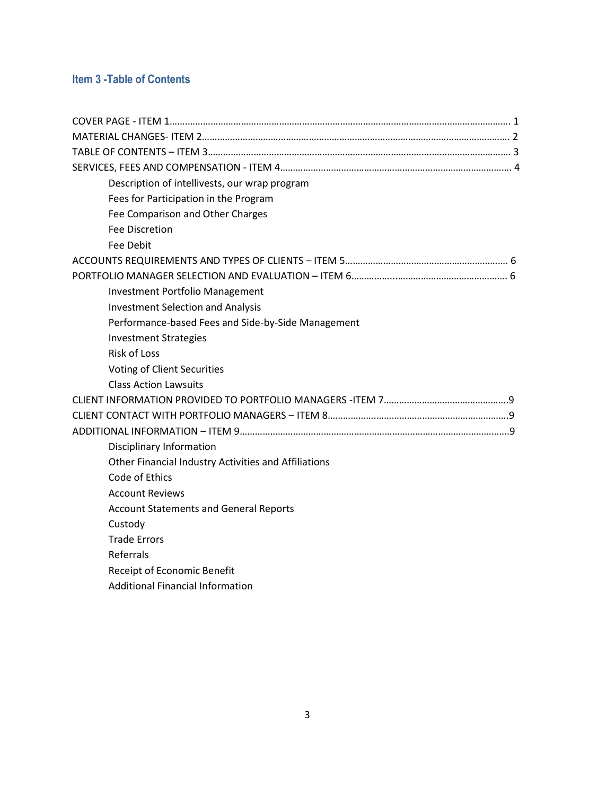# **Item 3 -Table of Contents**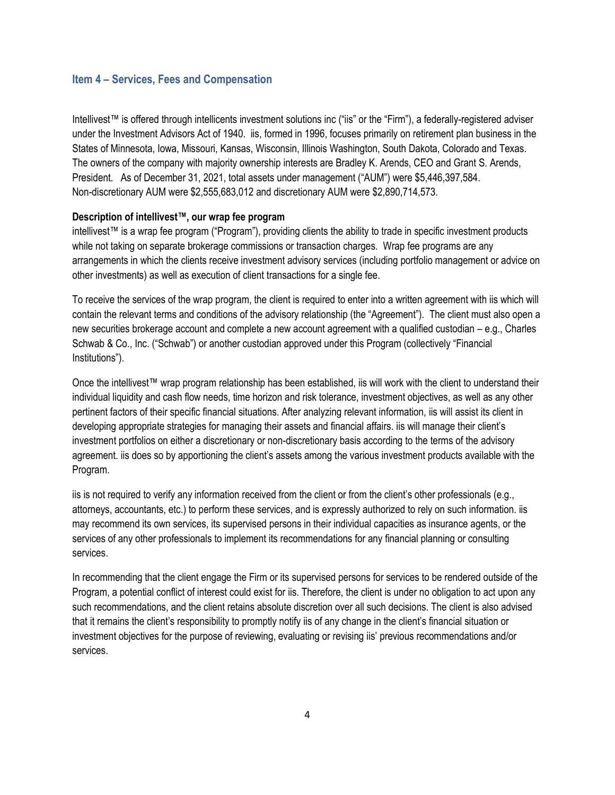# **Item 4 – Services, Fees and Compensation**

Intellivest™ is offered through intellicents investment solutions inc ("iis" or the "Firm"), a federally-registered adviser under the Investment Advisors Act of 1940. iis, formed in 1996, focuses primarily on retirement plan business in the States of Minnesota, Iowa, Missouri, Kansas, Wisconsin, Illinois Washington, South Dakota, Colorado and Texas. The owners of the company with majority ownership interests are Bradley K. Arends, CEO and Grant S. Arends, President. As of December 31, 2021, total assets under management ("AUM") were \$5,446,397,584. Non-discretionary AUM were \$2,555,683,012 and discretionary AUM were \$2,890,714,573.

# **Description of intellivest™, our wrap fee program**

intellivest™ is a wrap fee program ("Program"), providing clients the ability to trade in specific investment products while not taking on separate brokerage commissions or transaction charges. Wrap fee programs are any arrangements in which the clients receive investment advisory services (including portfolio management or advice on other investments) as well as execution of client transactions for a single fee.

To receive the services of the wrap program, the client is required to enter into a written agreement with iis which will contain the relevant terms and conditions of the advisory relationship (the "Agreement"). The client must also open a new securities brokerage account and complete a new account agreement with a qualified custodian – e.g., Charles Schwab & Co., Inc. ("Schwab") or another custodian approved under this Program (collectively "Financial Institutions").

Once the intellivest™ wrap program relationship has been established, iis will work with the client to understand their individual liquidity and cash flow needs, time horizon and risk tolerance, investment objectives, as well as any other pertinent factors of their specific financial situations. After analyzing relevant information, iis will assist its client in developing appropriate strategies for managing their assets and financial affairs. iis will manage their client's investment portfolios on either a discretionary or non-discretionary basis according to the terms of the advisory agreement. iis does so by apportioning the client's assets among the various investment products available with the Program.

iis is not required to verify any information received from the client or from the client's other professionals (e.g., attorneys, accountants, etc.) to perform these services, and is expressly authorized to rely on such information. iis may recommend its own services, its supervised persons in their individual capacities as insurance agents, or the services of any other professionals to implement its recommendations for any financial planning or consulting services.

In recommending that the client engage the Firm or its supervised persons for services to be rendered outside of the Program, a potential conflict of interest could exist for iis. Therefore, the client is under no obligation to act upon any such recommendations, and the client retains absolute discretion over all such decisions. The client is also advised that it remains the client's responsibility to promptly notify iis of any change in the client's financial situation or investment objectives for the purpose of reviewing, evaluating or revising iis' previous recommendations and/or services.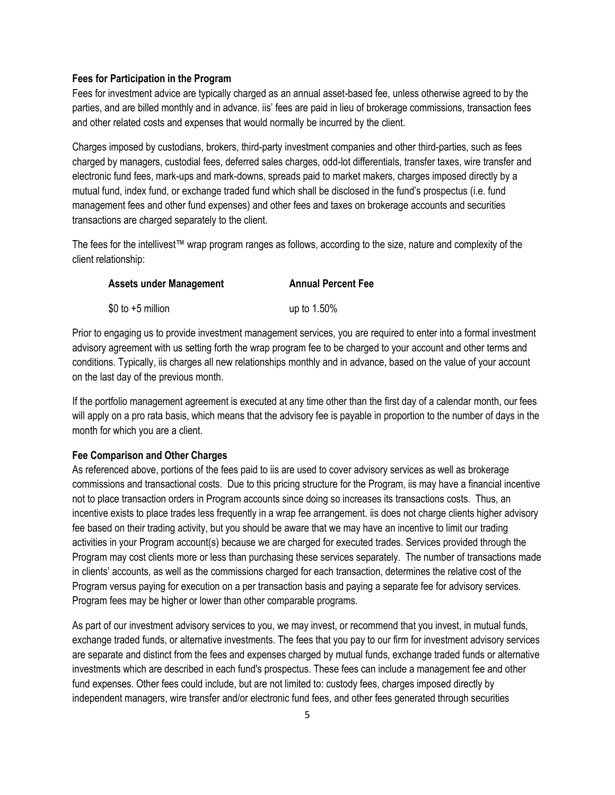#### **Fees for Participation in the Program**

Fees for investment advice are typically charged as an annual asset-based fee, unless otherwise agreed to by the parties, and are billed monthly and in advance. iis' fees are paid in lieu of brokerage commissions, transaction fees and other related costs and expenses that would normally be incurred by the client.

Charges imposed by custodians, brokers, third-party investment companies and other third-parties, such as fees charged by managers, custodial fees, deferred sales charges, odd-lot differentials, transfer taxes, wire transfer and electronic fund fees, mark-ups and mark-downs, spreads paid to market makers, charges imposed directly by a mutual fund, index fund, or exchange traded fund which shall be disclosed in the fund's prospectus (i.e. fund management fees and other fund expenses) and other fees and taxes on brokerage accounts and securities transactions are charged separately to the client.

The fees for the intellivest™ wrap program ranges as follows, according to the size, nature and complexity of the client relationship:

| <b>Assets under Management</b> | <b>Annual Percent Fee</b> |
|--------------------------------|---------------------------|
| $$0$ to $+5$ million           | up to 1.50%               |

Prior to engaging us to provide investment management services, you are required to enter into a formal investment advisory agreement with us setting forth the wrap program fee to be charged to your account and other terms and conditions. Typically, iis charges all new relationships monthly and in advance, based on the value of your account on the last day of the previous month.

If the portfolio management agreement is executed at any time other than the first day of a calendar month, our fees will apply on a pro rata basis, which means that the advisory fee is payable in proportion to the number of days in the month for which you are a client.

## **Fee Comparison and Other Charges**

As referenced above, portions of the fees paid to iis are used to cover advisory services as well as brokerage commissions and transactional costs. Due to this pricing structure for the Program, iis may have a financial incentive not to place transaction orders in Program accounts since doing so increases its transactions costs. Thus, an incentive exists to place trades less frequently in a wrap fee arrangement. iis does not charge clients higher advisory fee based on their trading activity, but you should be aware that we may have an incentive to limit our trading activities in your Program account(s) because we are charged for executed trades. Services provided through the Program may cost clients more or less than purchasing these services separately. The number of transactions made in clients' accounts, as well as the commissions charged for each transaction, determines the relative cost of the Program versus paying for execution on a per transaction basis and paying a separate fee for advisory services. Program fees may be higher or lower than other comparable programs.

As part of our investment advisory services to you, we may invest, or recommend that you invest, in mutual funds, exchange traded funds, or alternative investments. The fees that you pay to our firm for investment advisory services are separate and distinct from the fees and expenses charged by mutual funds, exchange traded funds or alternative investments which are described in each fund's prospectus. These fees can include a management fee and other fund expenses. Other fees could include, but are not limited to: custody fees, charges imposed directly by independent managers, wire transfer and/or electronic fund fees, and other fees generated through securities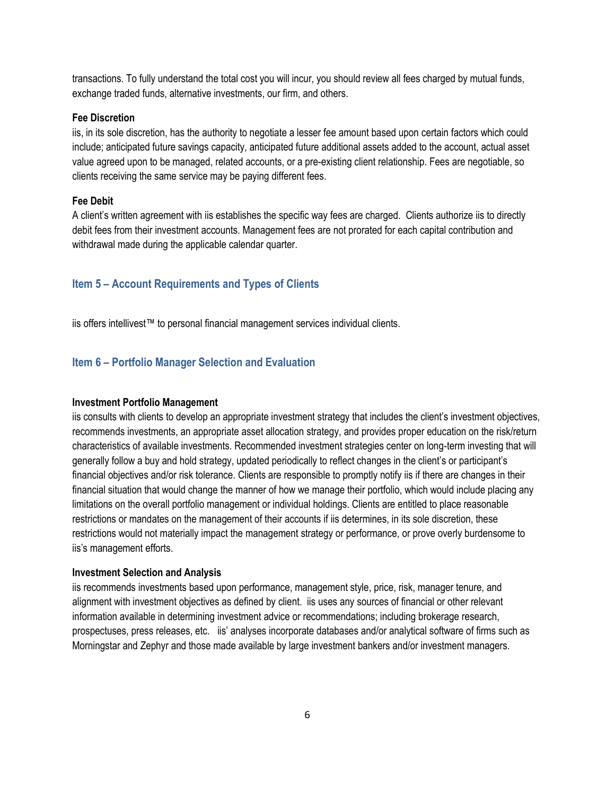transactions. To fully understand the total cost you will incur, you should review all fees charged by mutual funds, exchange traded funds, alternative investments, our firm, and others.

### **Fee Discretion**

iis, in its sole discretion, has the authority to negotiate a lesser fee amount based upon certain factors which could include; anticipated future savings capacity, anticipated future additional assets added to the account, actual asset value agreed upon to be managed, related accounts, or a pre-existing client relationship. Fees are negotiable, so clients receiving the same service may be paying different fees.

# **Fee Debit**

A client's written agreement with iis establishes the specific way fees are charged. Clients authorize iis to directly debit fees from their investment accounts. Management fees are not prorated for each capital contribution and withdrawal made during the applicable calendar quarter.

# **Item 5 – Account Requirements and Types of Clients**

iis offers intellivest™ to personal financial management services individual clients.

# **Item 6 – Portfolio Manager Selection and Evaluation**

#### **Investment Portfolio Management**

iis consults with clients to develop an appropriate investment strategy that includes the client's investment objectives, recommends investments, an appropriate asset allocation strategy, and provides proper education on the risk/return characteristics of available investments. Recommended investment strategies center on long-term investing that will generally follow a buy and hold strategy, updated periodically to reflect changes in the client's or participant's financial objectives and/or risk tolerance. Clients are responsible to promptly notify iis if there are changes in their financial situation that would change the manner of how we manage their portfolio, which would include placing any limitations on the overall portfolio management or individual holdings. Clients are entitled to place reasonable restrictions or mandates on the management of their accounts if iis determines, in its sole discretion, these restrictions would not materially impact the management strategy or performance, or prove overly burdensome to iis's management efforts.

#### **Investment Selection and Analysis**

iis recommends investments based upon performance, management style, price, risk, manager tenure, and alignment with investment objectives as defined by client. iis uses any sources of financial or other relevant information available in determining investment advice or recommendations; including brokerage research, prospectuses, press releases, etc. iis' analyses incorporate databases and/or analytical software of firms such as Morningstar and Zephyr and those made available by large investment bankers and/or investment managers.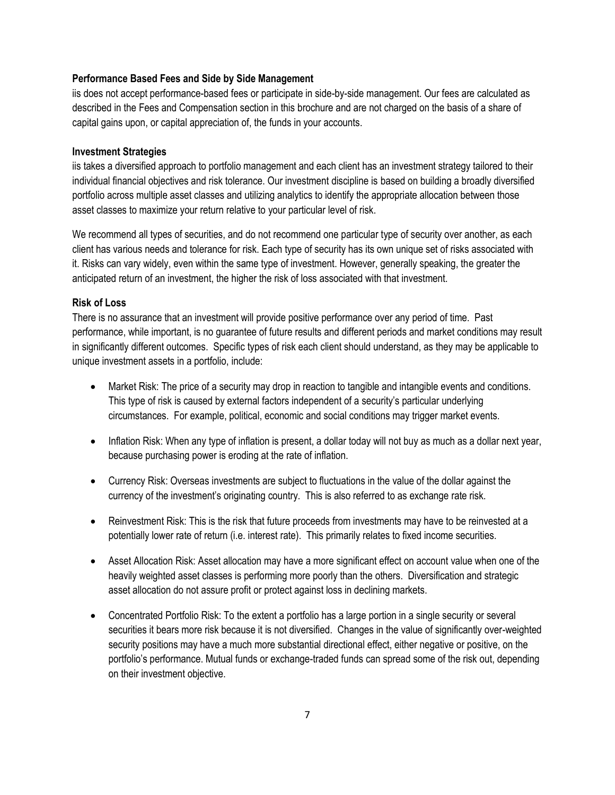## **Performance Based Fees and Side by Side Management**

iis does not accept performance-based fees or participate in side-by-side management. Our fees are calculated as described in the Fees and Compensation section in this brochure and are not charged on the basis of a share of capital gains upon, or capital appreciation of, the funds in your accounts.

### **Investment Strategies**

iis takes a diversified approach to portfolio management and each client has an investment strategy tailored to their individual financial objectives and risk tolerance. Our investment discipline is based on building a broadly diversified portfolio across multiple asset classes and utilizing analytics to identify the appropriate allocation between those asset classes to maximize your return relative to your particular level of risk.

We recommend all types of securities, and do not recommend one particular type of security over another, as each client has various needs and tolerance for risk. Each type of security has its own unique set of risks associated with it. Risks can vary widely, even within the same type of investment. However, generally speaking, the greater the anticipated return of an investment, the higher the risk of loss associated with that investment.

# **Risk of Loss**

There is no assurance that an investment will provide positive performance over any period of time. Past performance, while important, is no guarantee of future results and different periods and market conditions may result in significantly different outcomes. Specific types of risk each client should understand, as they may be applicable to unique investment assets in a portfolio, include:

- Market Risk: The price of a security may drop in reaction to tangible and intangible events and conditions. This type of risk is caused by external factors independent of a security's particular underlying circumstances. For example, political, economic and social conditions may trigger market events.
- Inflation Risk: When any type of inflation is present, a dollar today will not buy as much as a dollar next year, because purchasing power is eroding at the rate of inflation.
- Currency Risk: Overseas investments are subject to fluctuations in the value of the dollar against the currency of the investment's originating country. This is also referred to as exchange rate risk.
- Reinvestment Risk: This is the risk that future proceeds from investments may have to be reinvested at a potentially lower rate of return (i.e. interest rate). This primarily relates to fixed income securities.
- Asset Allocation Risk: Asset allocation may have a more significant effect on account value when one of the heavily weighted asset classes is performing more poorly than the others. Diversification and strategic asset allocation do not assure profit or protect against loss in declining markets.
- Concentrated Portfolio Risk: To the extent a portfolio has a large portion in a single security or several securities it bears more risk because it is not diversified. Changes in the value of significantly over-weighted security positions may have a much more substantial directional effect, either negative or positive, on the portfolio's performance. Mutual funds or exchange-traded funds can spread some of the risk out, depending on their investment objective.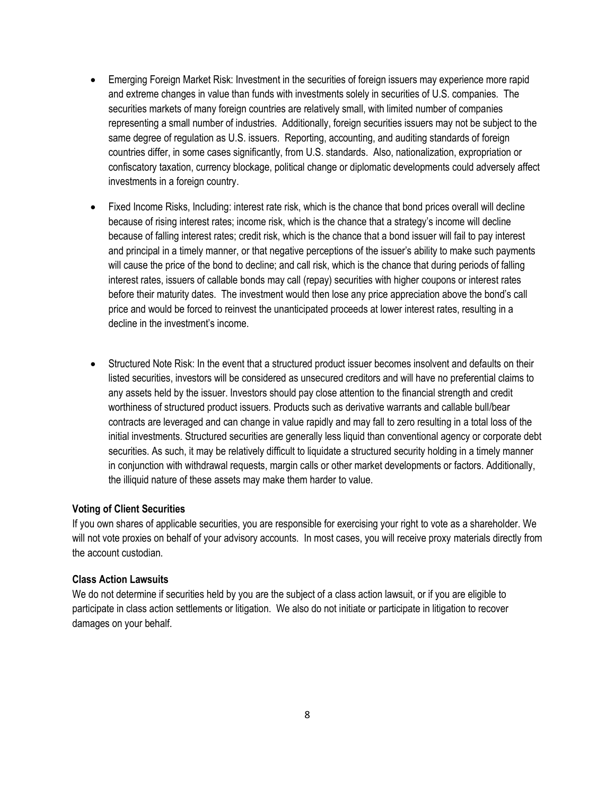- Emerging Foreign Market Risk: Investment in the securities of foreign issuers may experience more rapid and extreme changes in value than funds with investments solely in securities of U.S. companies. The securities markets of many foreign countries are relatively small, with limited number of companies representing a small number of industries. Additionally, foreign securities issuers may not be subject to the same degree of regulation as U.S. issuers. Reporting, accounting, and auditing standards of foreign countries differ, in some cases significantly, from U.S. standards. Also, nationalization, expropriation or confiscatory taxation, currency blockage, political change or diplomatic developments could adversely affect investments in a foreign country.
- Fixed Income Risks, Including: interest rate risk, which is the chance that bond prices overall will decline because of rising interest rates; income risk, which is the chance that a strategy's income will decline because of falling interest rates; credit risk, which is the chance that a bond issuer will fail to pay interest and principal in a timely manner, or that negative perceptions of the issuer's ability to make such payments will cause the price of the bond to decline; and call risk, which is the chance that during periods of falling interest rates, issuers of callable bonds may call (repay) securities with higher coupons or interest rates before their maturity dates. The investment would then lose any price appreciation above the bond's call price and would be forced to reinvest the unanticipated proceeds at lower interest rates, resulting in a decline in the investment's income.
- Structured Note Risk: In the event that a structured product issuer becomes insolvent and defaults on their listed securities, investors will be considered as unsecured creditors and will have no preferential claims to any assets held by the issuer. Investors should pay close attention to the financial strength and credit worthiness of structured product issuers. Products such as derivative warrants and callable bull/bear contracts are leveraged and can change in value rapidly and may fall to zero resulting in a total loss of the initial investments. Structured securities are generally less liquid than conventional agency or corporate debt securities. As such, it may be relatively difficult to liquidate a structured security holding in a timely manner in conjunction with withdrawal requests, margin calls or other market developments or factors. Additionally, the illiquid nature of these assets may make them harder to value.

# **Voting of Client Securities**

If you own shares of applicable securities, you are responsible for exercising your right to vote as a shareholder. We will not vote proxies on behalf of your advisory accounts. In most cases, you will receive proxy materials directly from the account custodian.

# **Class Action Lawsuits**

We do not determine if securities held by you are the subject of a class action lawsuit, or if you are eligible to participate in class action settlements or litigation. We also do not initiate or participate in litigation to recover damages on your behalf.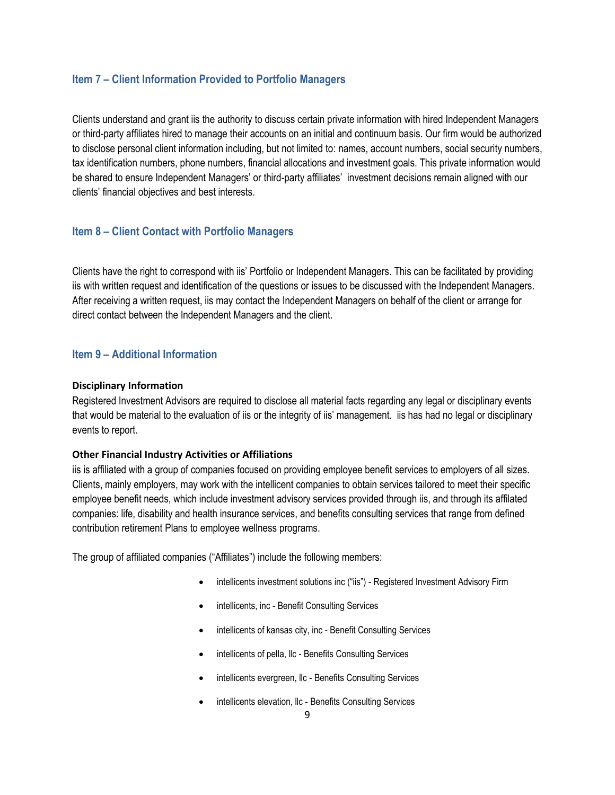# **Item 7 – Client Information Provided to Portfolio Managers**

Clients understand and grant iis the authority to discuss certain private information with hired Independent Managers or third-party affiliates hired to manage their accounts on an initial and continuum basis. Our firm would be authorized to disclose personal client information including, but not limited to: names, account numbers, social security numbers, tax identification numbers, phone numbers, financial allocations and investment goals. This private information would be shared to ensure Independent Managers' or third-party affiliates' investment decisions remain aligned with our clients' financial objectives and best interests.

# **Item 8 – Client Contact with Portfolio Managers**

Clients have the right to correspond with iis' Portfolio or Independent Managers. This can be facilitated by providing iis with written request and identification of the questions or issues to be discussed with the Independent Managers. After receiving a written request, iis may contact the Independent Managers on behalf of the client or arrange for direct contact between the Independent Managers and the client.

# **Item 9 – Additional Information**

### **Disciplinary Information**

Registered Investment Advisors are required to disclose all material facts regarding any legal or disciplinary events that would be material to the evaluation of iis or the integrity of iis' management. iis has had no legal or disciplinary events to report.

### **Other Financial Industry Activities or Affiliations**

iis is affiliated with a group of companies focused on providing employee benefit services to employers of all sizes. Clients, mainly employers, may work with the intellicent companies to obtain services tailored to meet their specific employee benefit needs, which include investment advisory services provided through iis, and through its affilated companies: life, disability and health insurance services, and benefits consulting services that range from defined contribution retirement Plans to employee wellness programs.

The group of affiliated companies ("Affiliates") include the following members:

- intellicents investment solutions inc ("iis") Registered Investment Advisory Firm
- intellicents, inc Benefit Consulting Services
- intellicents of kansas city, inc Benefit Consulting Services
- intellicents of pella, Ilc Benefits Consulting Services
- intellicents evergreen, llc Benefits Consulting Services
- intellicents elevation, Ilc Benefits Consulting Services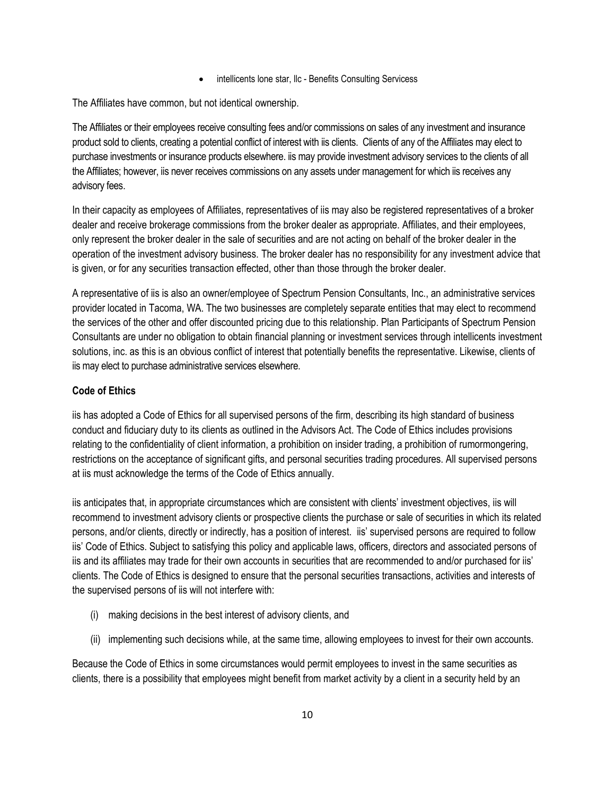• intellicents lone star, llc - Benefits Consulting Servicess

The Affiliates have common, but not identical ownership.

The Affiliates or their employees receive consulting fees and/or commissions on sales of any investment and insurance product sold to clients, creating a potential conflict of interest with iis clients. Clients of any of the Affiliates may elect to purchase investments or insurance products elsewhere. iis may provide investment advisory services to the clients of all the Affiliates; however, iis never receives commissions on any assets under management for which iis receives any advisory fees.

In their capacity as employees of Affiliates, representatives of iis may also be registered representatives of a broker dealer and receive brokerage commissions from the broker dealer as appropriate. Affiliates, and their employees, only represent the broker dealer in the sale of securities and are not acting on behalf of the broker dealer in the operation of the investment advisory business. The broker dealer has no responsibility for any investment advice that is given, or for any securities transaction effected, other than those through the broker dealer.

A representative of iis is also an owner/employee of Spectrum Pension Consultants, Inc., an administrative services provider located in Tacoma, WA. The two businesses are completely separate entities that may elect to recommend the services of the other and offer discounted pricing due to this relationship. Plan Participants of Spectrum Pension Consultants are under no obligation to obtain financial planning or investment services through intellicents investment solutions, inc. as this is an obvious conflict of interest that potentially benefits the representative. Likewise, clients of iis may elect to purchase administrative services elsewhere.

# **Code of Ethics**

iis has adopted a Code of Ethics for all supervised persons of the firm, describing its high standard of business conduct and fiduciary duty to its clients as outlined in the Advisors Act. The Code of Ethics includes provisions relating to the confidentiality of client information, a prohibition on insider trading, a prohibition of rumormongering, restrictions on the acceptance of significant gifts, and personal securities trading procedures. All supervised persons at iis must acknowledge the terms of the Code of Ethics annually.

iis anticipates that, in appropriate circumstances which are consistent with clients' investment objectives, iis will recommend to investment advisory clients or prospective clients the purchase or sale of securities in which its related persons, and/or clients, directly or indirectly, has a position of interest. iis' supervised persons are required to follow iis' Code of Ethics. Subject to satisfying this policy and applicable laws, officers, directors and associated persons of iis and its affiliates may trade for their own accounts in securities that are recommended to and/or purchased for iis' clients. The Code of Ethics is designed to ensure that the personal securities transactions, activities and interests of the supervised persons of iis will not interfere with:

- (i) making decisions in the best interest of advisory clients, and
- (ii) implementing such decisions while, at the same time, allowing employees to invest for their own accounts.

Because the Code of Ethics in some circumstances would permit employees to invest in the same securities as clients, there is a possibility that employees might benefit from market activity by a client in a security held by an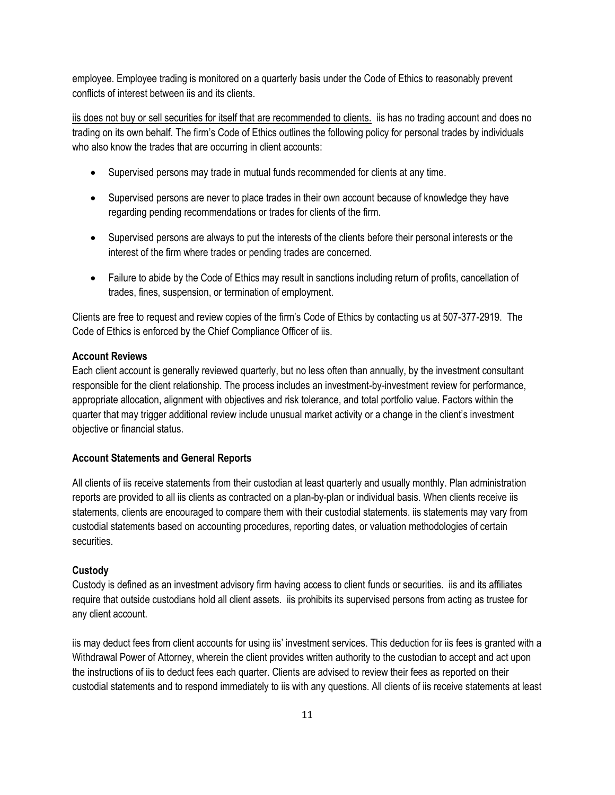employee. Employee trading is monitored on a quarterly basis under the Code of Ethics to reasonably prevent conflicts of interest between iis and its clients.

iis does not buy or sell securities for itself that are recommended to clients. iis has no trading account and does no trading on its own behalf. The firm's Code of Ethics outlines the following policy for personal trades by individuals who also know the trades that are occurring in client accounts:

- Supervised persons may trade in mutual funds recommended for clients at any time.
- Supervised persons are never to place trades in their own account because of knowledge they have regarding pending recommendations or trades for clients of the firm.
- Supervised persons are always to put the interests of the clients before their personal interests or the interest of the firm where trades or pending trades are concerned.
- Failure to abide by the Code of Ethics may result in sanctions including return of profits, cancellation of trades, fines, suspension, or termination of employment.

Clients are free to request and review copies of the firm's Code of Ethics by contacting us at 507-377-2919. The Code of Ethics is enforced by the Chief Compliance Officer of iis.

# **Account Reviews**

Each client account is generally reviewed quarterly, but no less often than annually, by the investment consultant responsible for the client relationship. The process includes an investment-by-investment review for performance, appropriate allocation, alignment with objectives and risk tolerance, and total portfolio value. Factors within the quarter that may trigger additional review include unusual market activity or a change in the client's investment objective or financial status.

### **Account Statements and General Reports**

All clients of iis receive statements from their custodian at least quarterly and usually monthly. Plan administration reports are provided to all iis clients as contracted on a plan-by-plan or individual basis. When clients receive iis statements, clients are encouraged to compare them with their custodial statements. iis statements may vary from custodial statements based on accounting procedures, reporting dates, or valuation methodologies of certain securities.

### **Custody**

Custody is defined as an investment advisory firm having access to client funds or securities. iis and its affiliates require that outside custodians hold all client assets. iis prohibits its supervised persons from acting as trustee for any client account.

iis may deduct fees from client accounts for using iis' investment services. This deduction for iis fees is granted with a Withdrawal Power of Attorney, wherein the client provides written authority to the custodian to accept and act upon the instructions of iis to deduct fees each quarter. Clients are advised to review their fees as reported on their custodial statements and to respond immediately to iis with any questions. All clients of iis receive statements at least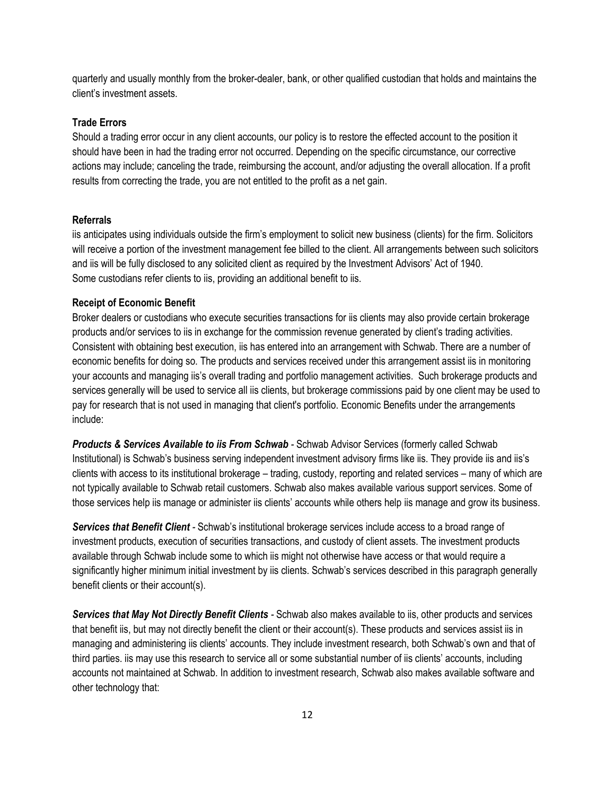quarterly and usually monthly from the broker-dealer, bank, or other qualified custodian that holds and maintains the client's investment assets.

# **Trade Errors**

Should a trading error occur in any client accounts, our policy is to restore the effected account to the position it should have been in had the trading error not occurred. Depending on the specific circumstance, our corrective actions may include; canceling the trade, reimbursing the account, and/or adjusting the overall allocation. If a profit results from correcting the trade, you are not entitled to the profit as a net gain.

#### **Referrals**

iis anticipates using individuals outside the firm's employment to solicit new business (clients) for the firm. Solicitors will receive a portion of the investment management fee billed to the client. All arrangements between such solicitors and iis will be fully disclosed to any solicited client as required by the Investment Advisors' Act of 1940. Some custodians refer clients to iis, providing an additional benefit to iis.

#### **Receipt of Economic Benefit**

Broker dealers or custodians who execute securities transactions for iis clients may also provide certain brokerage products and/or services to iis in exchange for the commission revenue generated by client's trading activities. Consistent with obtaining best execution, iis has entered into an arrangement with Schwab. There are a number of economic benefits for doing so. The products and services received under this arrangement assist iis in monitoring your accounts and managing iis's overall trading and portfolio management activities. Such brokerage products and services generally will be used to service all iis clients, but brokerage commissions paid by one client may be used to pay for research that is not used in managing that client's portfolio. Economic Benefits under the arrangements include:

*Products & Services Available to iis From Schwab -* Schwab Advisor Services (formerly called Schwab Institutional) is Schwab's business serving independent investment advisory firms like iis. They provide iis and iis's clients with access to its institutional brokerage – trading, custody, reporting and related services – many of which are not typically available to Schwab retail customers. Schwab also makes available various support services. Some of those services help iis manage or administer iis clients' accounts while others help iis manage and grow its business.

*Services that Benefit Client -* Schwab's institutional brokerage services include access to a broad range of investment products, execution of securities transactions, and custody of client assets. The investment products available through Schwab include some to which iis might not otherwise have access or that would require a significantly higher minimum initial investment by iis clients. Schwab's services described in this paragraph generally benefit clients or their account(s).

*Services that May Not Directly Benefit Clients -* Schwab also makes available to iis, other products and services that benefit iis, but may not directly benefit the client or their account(s). These products and services assist iis in managing and administering iis clients' accounts. They include investment research, both Schwab's own and that of third parties. iis may use this research to service all or some substantial number of iis clients' accounts, including accounts not maintained at Schwab. In addition to investment research, Schwab also makes available software and other technology that: